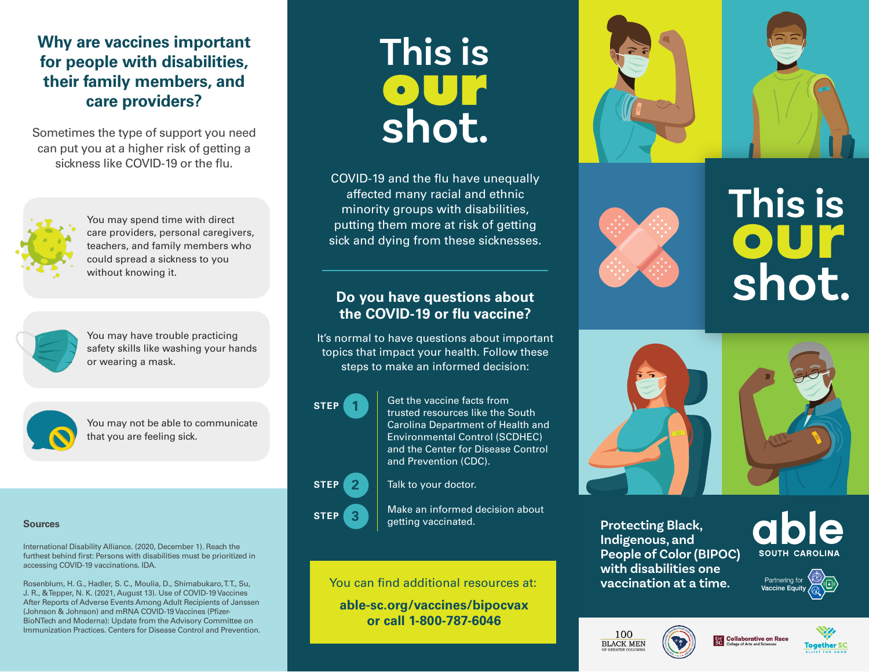## **Why are vaccines important for people with disabilities, their family members, and care providers?**

Sometimes the type of support you need can put you at a higher risk of getting a sickness like COVID-19 or the flu.



You may spend time with direct care providers, personal caregivers, teachers, and family members who could spread a sickness to you without knowing it.



You may have trouble practicing safety skills like washing your hands or wearing a mask.



You may not be able to communicate that you are feeling sick.

#### **Sources**

[International Disability Alliance. \(2020, December 1\). Reach the](https://www.internationaldisabilityalliance.org/sites/default/files/ida_recommendations_on_accessing_covid-19_vaccinations_final_01.12.20.pdf)  [furthest behind first: Persons with disabilities must be prioritized in](https://www.internationaldisabilityalliance.org/sites/default/files/ida_recommendations_on_accessing_covid-19_vaccinations_final_01.12.20.pdf)  [accessing COVID-19 vaccinations. IDA.](https://www.internationaldisabilityalliance.org/sites/default/files/ida_recommendations_on_accessing_covid-19_vaccinations_final_01.12.20.pdf)

Rosenblum, H. G., Hadler, S. C., Moulia, D., Shimabukaro, T.T., Su, [J. R., & Tepper, N. K. \(2021, August 13\). Use of COVID-19 Vaccines](https://www.cdc.gov/mmwr/volumes/70/wr/mm7032e4.htm?s_cid=mm7032e4_w)  [After Reports of Adverse Events Among Adult Recipients of Janssen](https://www.cdc.gov/mmwr/volumes/70/wr/mm7032e4.htm?s_cid=mm7032e4_w)  [\(Johnson & Johnson\) and mRNA COVID-19 Vaccines \(Pfizer-](https://www.cdc.gov/mmwr/volumes/70/wr/mm7032e4.htm?s_cid=mm7032e4_w)[BioNTech and Moderna\): Update from the Advisory Committee on](https://www.cdc.gov/mmwr/volumes/70/wr/mm7032e4.htm?s_cid=mm7032e4_w)  [Immunization Practices. Centers for Disease Control and Prevention.](https://www.cdc.gov/mmwr/volumes/70/wr/mm7032e4.htm?s_cid=mm7032e4_w)

# **This is our shot.**

COVID-19 and the flu have unequally affected many racial and ethnic minority groups with disabilities, putting them more at risk of getting sick and dying from these sicknesses.

#### **Do you have questions about the COVID-19 or flu vaccine?**

It's normal to have questions about important topics that impact your health. Follow these steps to make an informed decision:

# **STEP 1**

**STEP 2**

**STEP 3**

Get the vaccine facts from trusted resources like the South Carolina Department of Health and Environmental Control (SCDHEC) and the Center for Disease Control and Prevention (CDC).

Talk to your doctor.

Make an informed decision about getting vaccinated.

You can find additional resources at:

**able-sc.org/vaccines/bipocvax or call 1-800-787-6046**



**This is shot. our**



**Protecting Black, Indigenous, and People of Color (BIPOC) with disabilities one vaccination at a time.**

SOUTH CAROLINA